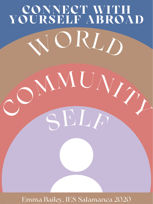# **CONNECT WITH YOURSELF ABROAD** <sup>C</sup>OMMUNIT<sup>Y</sup> WORLD

### Emma Bailey, IES Salamanca 2020

SELF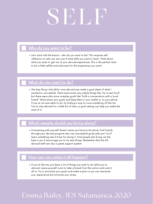## SELF

#### Who do you want to be?

Let's start with the basics - who do you want to be? This requires selfreflection on who you are now & what skills you want to learn. Think about what you want to get out of your abroad experience. This is the perfect time to be a little selfish and advocate for the experience you want!

#### What do you want to do?

The best thing I did while I was abroad was make a goal sheet of what I wanted to accomplish. There were some very simple things like "try a new food" but there were also more complex goals like "hold a conversation with a local friend." Write down your goals and keep them in your wallet or on your phone. If you're not sure what to do, try finding a way to cross something off the list.

You're only abroad for a little bit of time, so goal setting can help you make the most of it.

#### Which people should you bring along?

Connecting with yourself doesn't mean you have to be alone. Find friends through your abroad program who can accomplish goals with you! You'll learn something new & have fun doing it. Find people who bring out the best in you & encourage you to try new things. Remember that the IES abroad staff are also a great support system!

If you're like me, you have a lot of things you want to do while you're abroad. Leave yourself room to take a break from the action and soak it all in. Try to prioritize your goals and make a plan so you can maximize your experience but minimize your stress.

#### How can you make it all happen?

## Emma Bailey, IES Salamanca 2020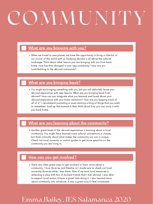When we travel to new places, we have the opportunity to bring a little bit of our corner of the world with us. Studying abroad is all about the cultural exchange. Think about what lessons you are bringing with you from back home. How has that changed in your new community? How are you contributiting to the abroad community?

#### What are you bringing back?

## COMMUNITY

#### What are you bringing with you?

You might be bringing something with you, but you will definitely leave your abroad experience with new lessons. What are you bringing back from abroad? How can you integrate what you learned and loved about your abroad experience with your home institution? How are you keeping track of all of it? I recommend journaling or even starting a blog of things that you want to remember. Soak up the moment & then think about how you can carry it with

you back home.

#### What are you learning about the community?

Another great tenet of the abroad experience is learning about a local community. You might have learned some cultural connections in classes, but think critically about what makes the community you are in unique. Check out local museums or visitors guides to get more specifics on the community you are living in.

#### How can you get involved?

There are often great ways to get involved or learn more about a community. I love libraries and theatre, so I made sure to check out local university libraries while I was there. One of my most fond memories is attending a play with two of my best friends that I met abroad. I was able to support local actors & have a great time doing it. I also learned more about community arts initiatives. It was a great way to feel connected.

### Emma Bailey, IES Salamanca 2020